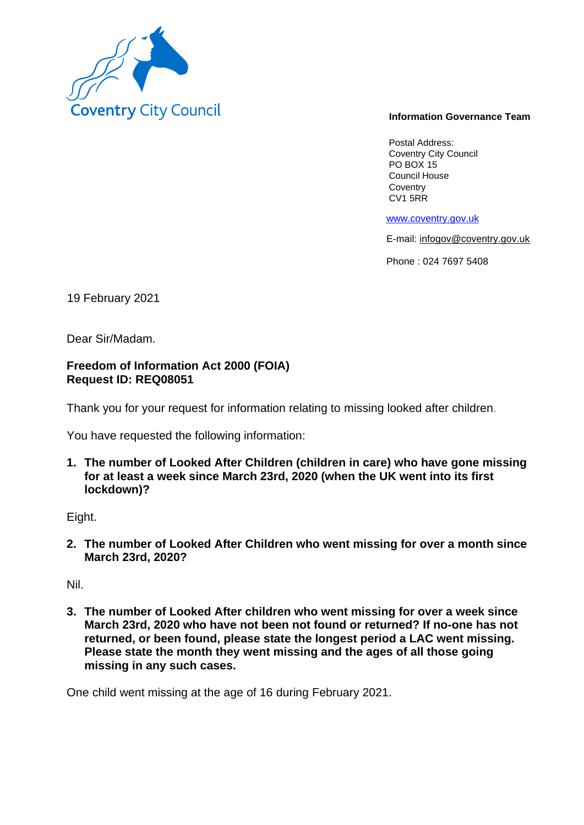

## **Information Governance Team**

Postal Address: Coventry City Council PO BOX 15 Council House **Coventry** CV1 5RR

www.coventry.gov.uk

E-mail: infogov@coventry.gov.uk

Phone : 024 7697 5408

19 February 2021

Dear Sir/Madam.

## **Freedom of Information Act 2000 (FOIA) Request ID: REQ08051**

Thank you for your request for information relating to missing looked after children.

You have requested the following information:

**1. The number of Looked After Children (children in care) who have gone missing for at least a week since March 23rd, 2020 (when the UK went into its first lockdown)?**

Eight.

**2. The number of Looked After Children who went missing for over a month since March 23rd, 2020?**

Nil.

**3. The number of Looked After children who went missing for over a week since March 23rd, 2020 who have not been not found or returned? If no-one has not returned, or been found, please state the longest period a LAC went missing. Please state the month they went missing and the ages of all those going missing in any such cases.**

One child went missing at the age of 16 during February 2021.